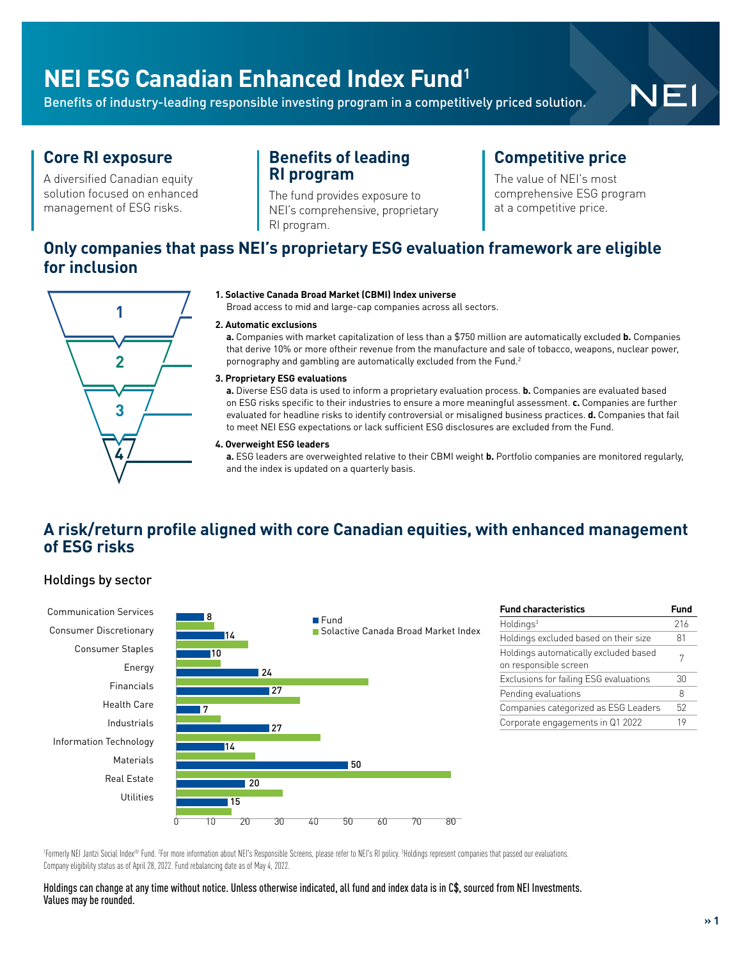## **NEI ESG Canadian Enhanced Index Fund1**

Benefits of industry-leading responsible investing program in a competitively priced solution.

# NEI

### **Core RI exposure**

A diversified Canadian equity solution focused on enhanced management of ESG risks.

### **Benefits of leading RI program**

The fund provides exposure to NEI's comprehensive, proprietary RI program.

### **Competitive price**

The value of NEI's most comprehensive ESG program at a competitive price.

### **Only companies that pass NEI's proprietary ESG evaluation framework are eligible for inclusion**



#### **1. Solactive Canada Broad Market (CBMI) Index universe**

Broad access to mid and large-cap companies across all sectors.

#### **2. Automatic exclusions**

**a.** Companies with market capitalization of less than a \$750 million are automatically excluded **b.** Companies that derive 10% or more oftheir revenue from the manufacture and sale of tobacco, weapons, nuclear power, pornography and gambling are automatically excluded from the Fund.<sup>2</sup>

#### **3. Proprietary ESG evaluations**

**a.** Diverse ESG data is used to inform a proprietary evaluation process. **b.** Companies are evaluated based on ESG risks specific to their industries to ensure a more meaningful assessment. **c.** Companies are further evaluated for headline risks to identify controversial or misaligned business practices. **d.** Companies that fail to meet NEI ESG expectations or lack sufficient ESG disclosures are excluded from the Fund.

#### **4. Overweight ESG leaders**

**a.** ESG leaders are overweighted relative to their CBMI weight **b.** Portfolio companies are monitored regularly, and the index is updated on a quarterly basis.

### **A risk/return profile aligned with core Canadian equities, with enhanced management of ESG risks**

#### Holdings by sector



| <b>Fund characteristics</b>                                    | Fund |
|----------------------------------------------------------------|------|
| Holdings <sup>3</sup>                                          | 216  |
| Holdings excluded based on their size                          | 81   |
| Holdings automatically excluded based<br>on responsible screen | 7    |
| Exclusions for failing ESG evaluations                         | 30   |
| Pending evaluations                                            | 8    |
| Companies categorized as ESG Leaders                           | 52   |
| Corporate engagements in Q1 2022                               | 19   |

'Formerly NEI Jantzi Social Index® Fund. <sup>z</sup>For more information about NEI's Responsible Screens, please refer to NEI's RI policy. <sup>3</sup>Holdings represent companies that passed our evaluations. Company eligibility status as of April 28, 2022. Fund rebalancing date as of May 4, 2022.

Holdings can change at any time without notice. Unless otherwise indicated, all fund and index data is in C\$, sourced from NEI Investments. Values may be rounded.